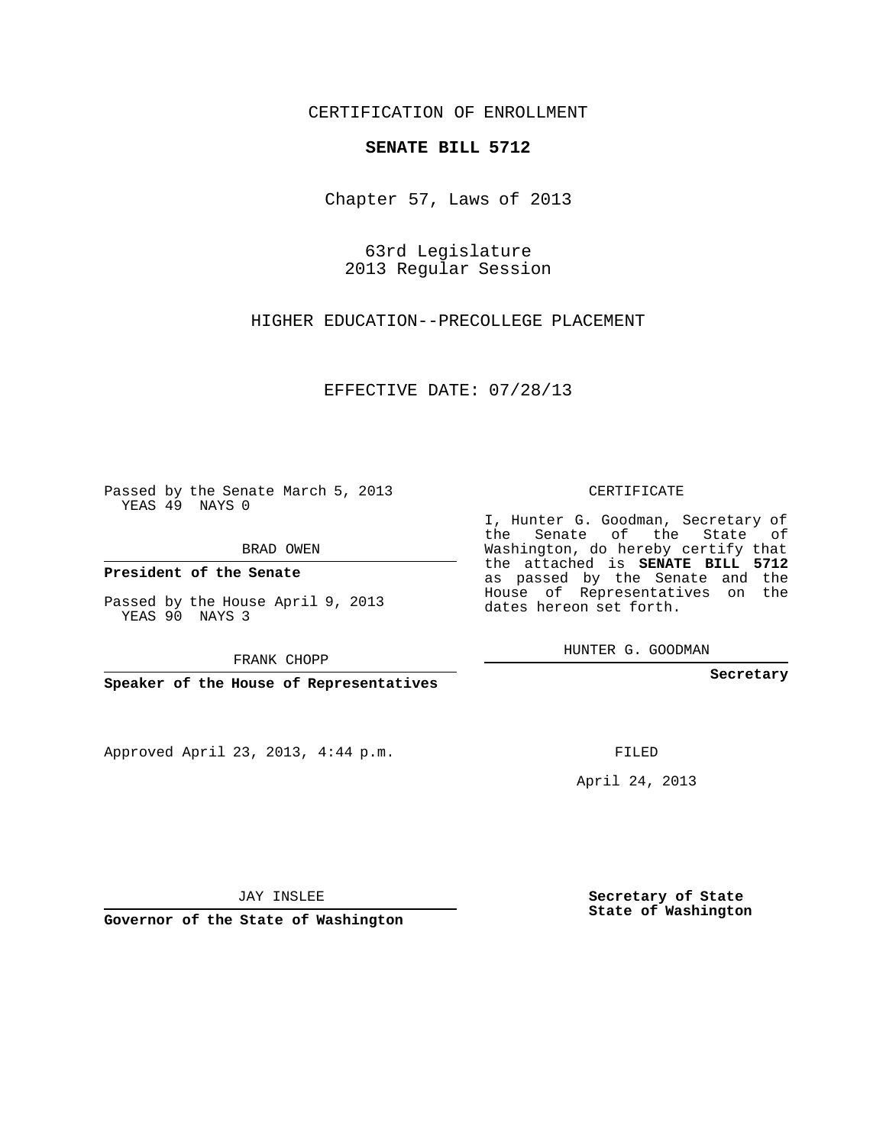## CERTIFICATION OF ENROLLMENT

## **SENATE BILL 5712**

Chapter 57, Laws of 2013

63rd Legislature 2013 Regular Session

HIGHER EDUCATION--PRECOLLEGE PLACEMENT

EFFECTIVE DATE: 07/28/13

Passed by the Senate March 5, 2013 YEAS 49 NAYS 0

BRAD OWEN

**President of the Senate**

Passed by the House April 9, 2013 YEAS 90 NAYS 3

FRANK CHOPP

**Speaker of the House of Representatives**

Approved April 23, 2013, 4:44 p.m.

CERTIFICATE

I, Hunter G. Goodman, Secretary of the Senate of the State of Washington, do hereby certify that the attached is **SENATE BILL 5712** as passed by the Senate and the House of Representatives on the dates hereon set forth.

HUNTER G. GOODMAN

**Secretary**

FILED

April 24, 2013

JAY INSLEE

**Governor of the State of Washington**

**Secretary of State State of Washington**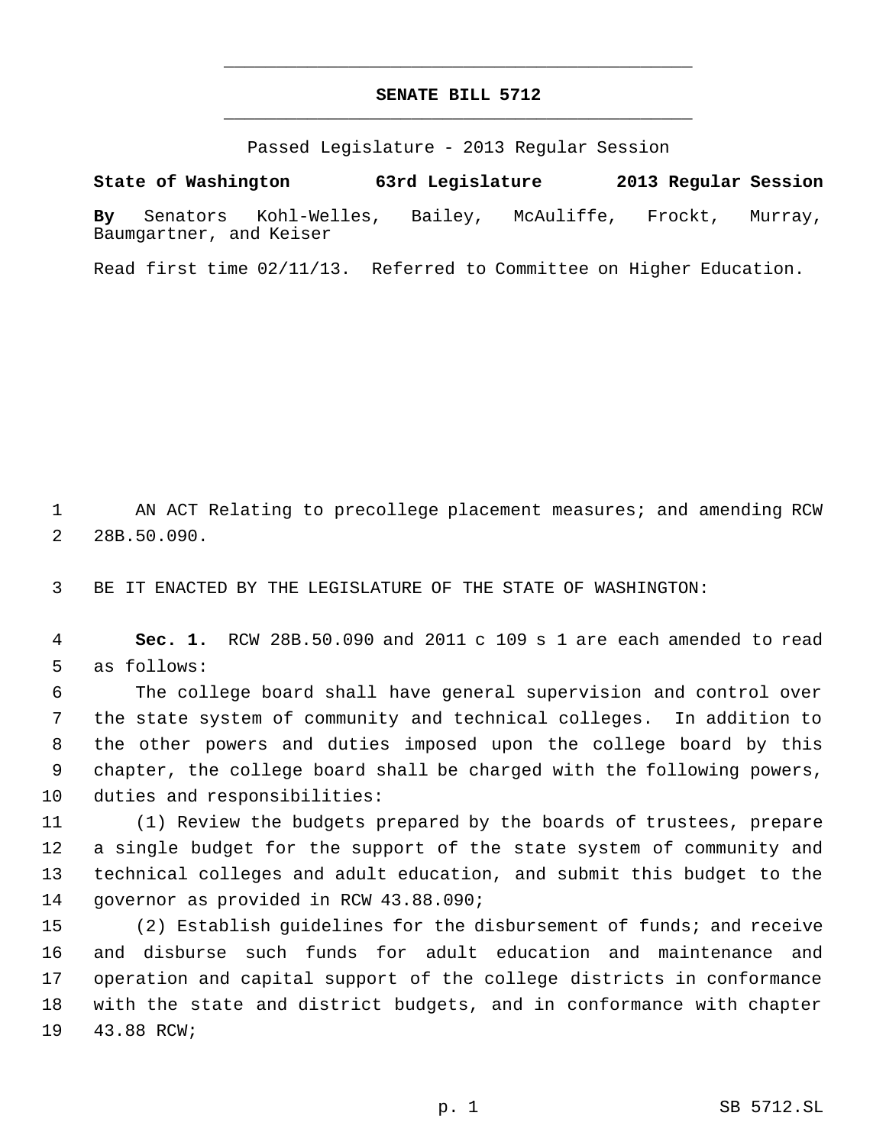## **SENATE BILL 5712** \_\_\_\_\_\_\_\_\_\_\_\_\_\_\_\_\_\_\_\_\_\_\_\_\_\_\_\_\_\_\_\_\_\_\_\_\_\_\_\_\_\_\_\_\_

\_\_\_\_\_\_\_\_\_\_\_\_\_\_\_\_\_\_\_\_\_\_\_\_\_\_\_\_\_\_\_\_\_\_\_\_\_\_\_\_\_\_\_\_\_

Passed Legislature - 2013 Regular Session

**State of Washington 63rd Legislature 2013 Regular Session By** Senators Kohl-Welles, Bailey, McAuliffe, Frockt, Murray, Baumgartner, and Keiser

Read first time 02/11/13. Referred to Committee on Higher Education.

 AN ACT Relating to precollege placement measures; and amending RCW 28B.50.090.

BE IT ENACTED BY THE LEGISLATURE OF THE STATE OF WASHINGTON:

 **Sec. 1.** RCW 28B.50.090 and 2011 c 109 s 1 are each amended to read as follows:

 The college board shall have general supervision and control over the state system of community and technical colleges. In addition to the other powers and duties imposed upon the college board by this chapter, the college board shall be charged with the following powers, duties and responsibilities:

 (1) Review the budgets prepared by the boards of trustees, prepare a single budget for the support of the state system of community and technical colleges and adult education, and submit this budget to the governor as provided in RCW 43.88.090;

 (2) Establish guidelines for the disbursement of funds; and receive and disburse such funds for adult education and maintenance and operation and capital support of the college districts in conformance with the state and district budgets, and in conformance with chapter 43.88 RCW;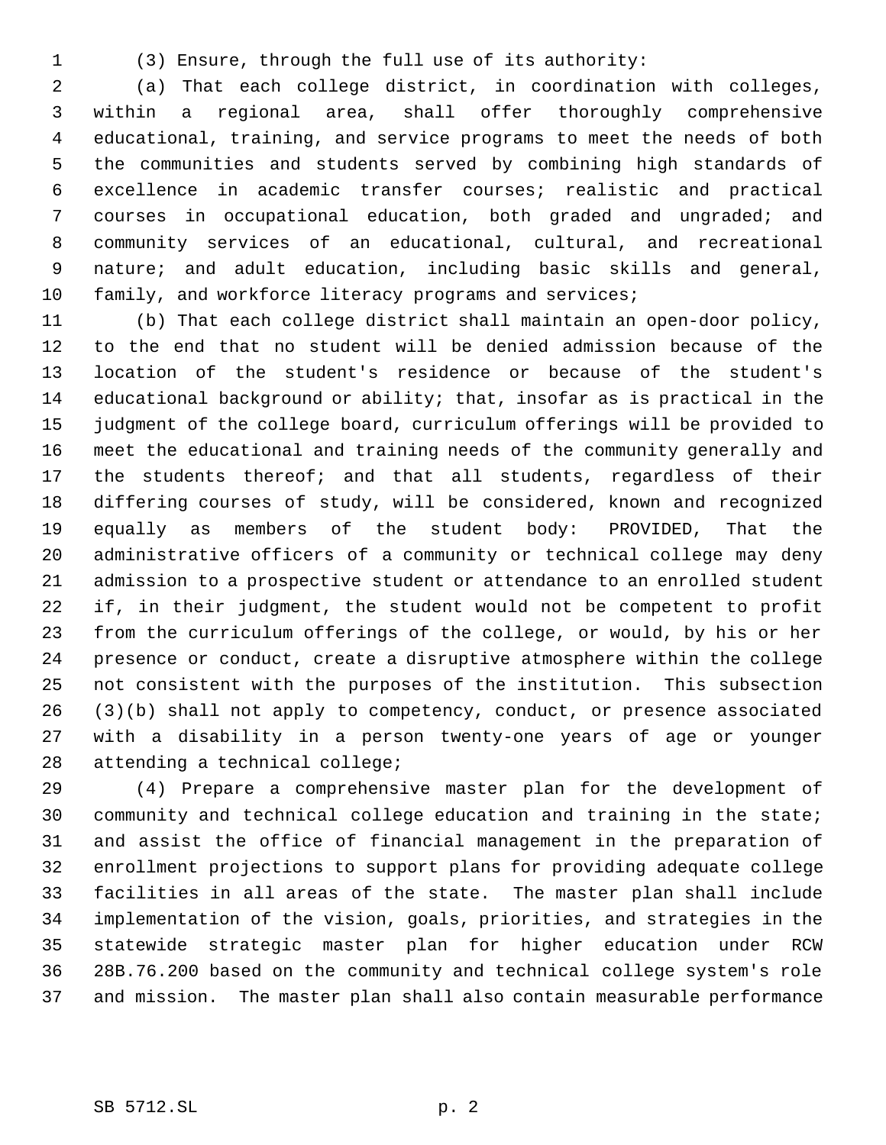(3) Ensure, through the full use of its authority:

 (a) That each college district, in coordination with colleges, within a regional area, shall offer thoroughly comprehensive educational, training, and service programs to meet the needs of both the communities and students served by combining high standards of excellence in academic transfer courses; realistic and practical courses in occupational education, both graded and ungraded; and community services of an educational, cultural, and recreational nature; and adult education, including basic skills and general, 10 family, and workforce literacy programs and services;

 (b) That each college district shall maintain an open-door policy, to the end that no student will be denied admission because of the location of the student's residence or because of the student's educational background or ability; that, insofar as is practical in the judgment of the college board, curriculum offerings will be provided to meet the educational and training needs of the community generally and 17 the students thereof; and that all students, regardless of their differing courses of study, will be considered, known and recognized equally as members of the student body: PROVIDED, That the administrative officers of a community or technical college may deny admission to a prospective student or attendance to an enrolled student if, in their judgment, the student would not be competent to profit from the curriculum offerings of the college, or would, by his or her presence or conduct, create a disruptive atmosphere within the college not consistent with the purposes of the institution. This subsection (3)(b) shall not apply to competency, conduct, or presence associated with a disability in a person twenty-one years of age or younger attending a technical college;

 (4) Prepare a comprehensive master plan for the development of community and technical college education and training in the state; and assist the office of financial management in the preparation of enrollment projections to support plans for providing adequate college facilities in all areas of the state. The master plan shall include implementation of the vision, goals, priorities, and strategies in the statewide strategic master plan for higher education under RCW 28B.76.200 based on the community and technical college system's role and mission. The master plan shall also contain measurable performance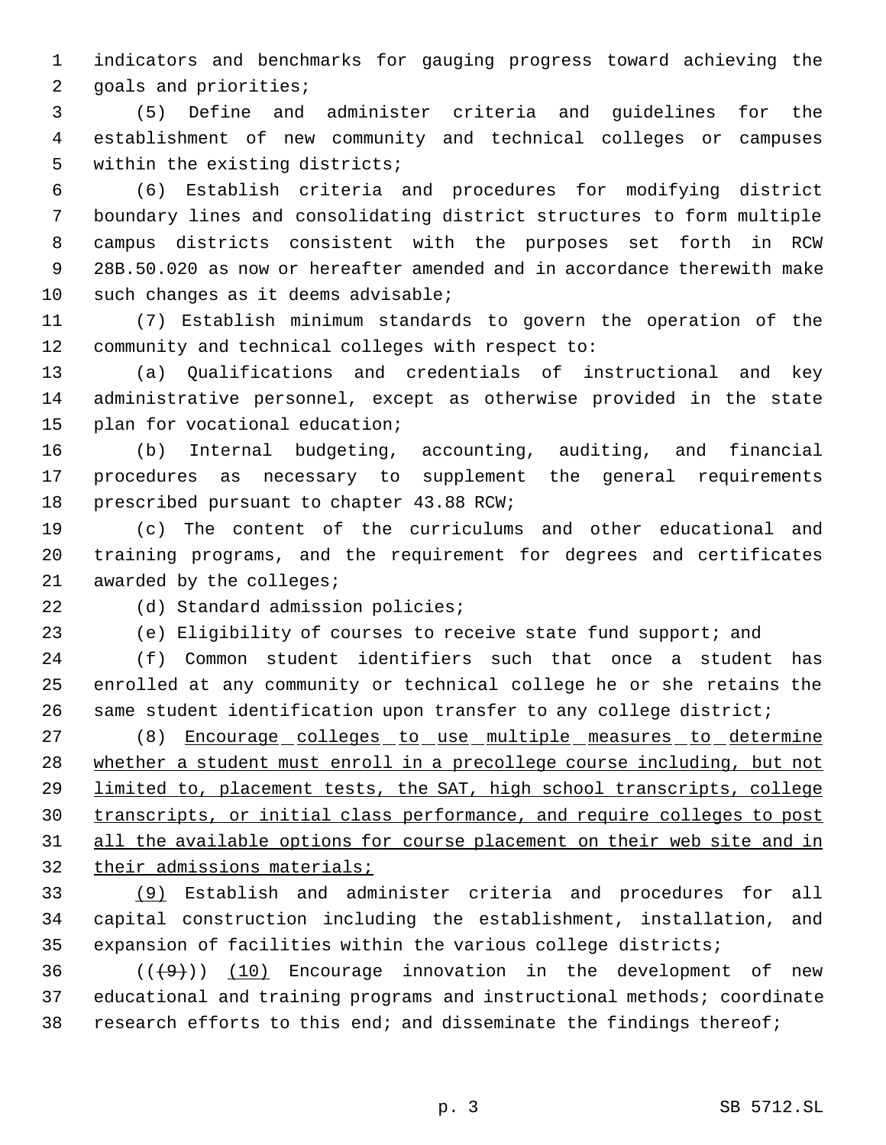indicators and benchmarks for gauging progress toward achieving the goals and priorities;

 (5) Define and administer criteria and guidelines for the establishment of new community and technical colleges or campuses within the existing districts;

 (6) Establish criteria and procedures for modifying district boundary lines and consolidating district structures to form multiple campus districts consistent with the purposes set forth in RCW 28B.50.020 as now or hereafter amended and in accordance therewith make 10 such changes as it deems advisable;

 (7) Establish minimum standards to govern the operation of the community and technical colleges with respect to:

 (a) Qualifications and credentials of instructional and key administrative personnel, except as otherwise provided in the state plan for vocational education;

 (b) Internal budgeting, accounting, auditing, and financial procedures as necessary to supplement the general requirements prescribed pursuant to chapter 43.88 RCW;

 (c) The content of the curriculums and other educational and training programs, and the requirement for degrees and certificates awarded by the colleges;

22 (d) Standard admission policies;

(e) Eligibility of courses to receive state fund support; and

 (f) Common student identifiers such that once a student has enrolled at any community or technical college he or she retains the same student identification upon transfer to any college district;

27 (8) Encourage colleges to use multiple measures to determine whether a student must enroll in a precollege course including, but not limited to, placement tests, the SAT, high school transcripts, college transcripts, or initial class performance, and require colleges to post 31 all the available options for course placement on their web site and in their admissions materials;

 (9) Establish and administer criteria and procedures for all capital construction including the establishment, installation, and expansion of facilities within the various college districts;

36  $((+9))$  (10) Encourage innovation in the development of new educational and training programs and instructional methods; coordinate research efforts to this end; and disseminate the findings thereof;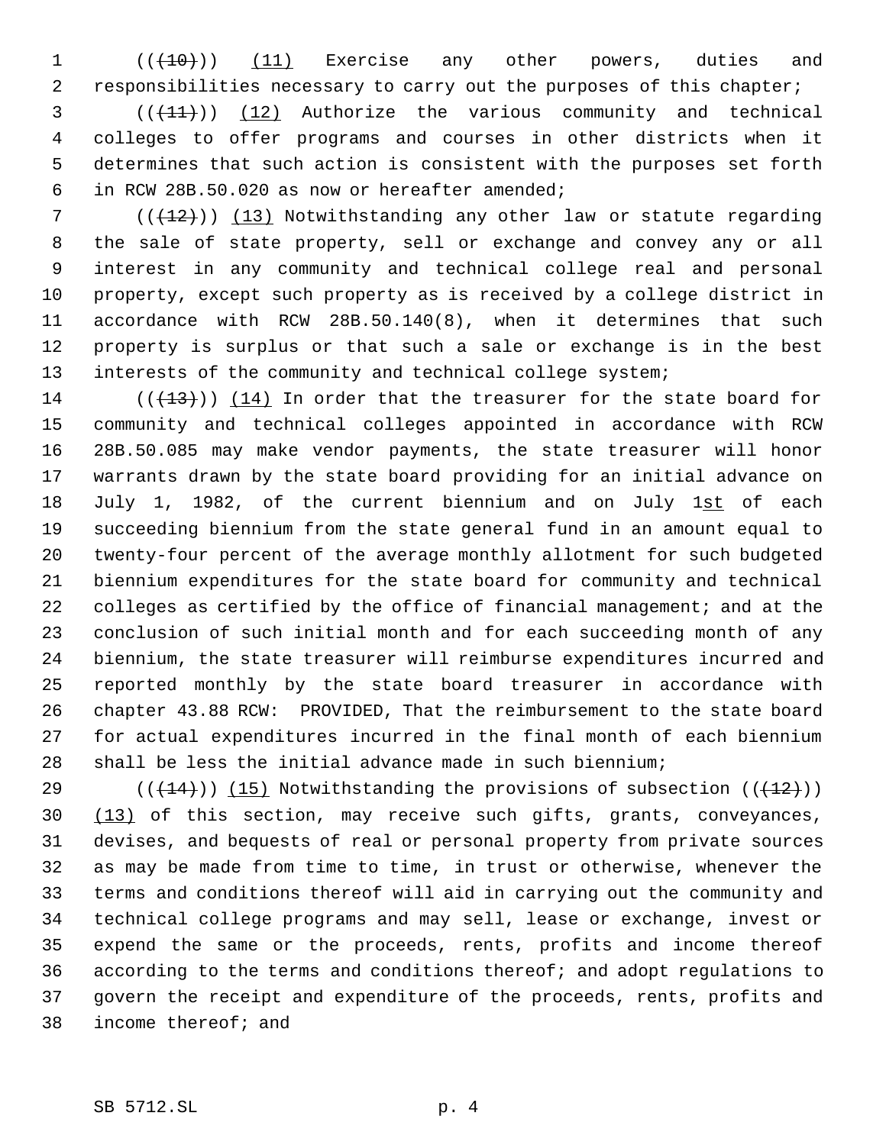1 (( $(10)$ ) (11) Exercise any other powers, duties and responsibilities necessary to carry out the purposes of this chapter;

 $(1)$  (( $(1)$ )) (12) Authorize the various community and technical colleges to offer programs and courses in other districts when it determines that such action is consistent with the purposes set forth in RCW 28B.50.020 as now or hereafter amended;

 (( $\left(\frac{12}{12}\right)$ ) (13) Notwithstanding any other law or statute regarding the sale of state property, sell or exchange and convey any or all interest in any community and technical college real and personal property, except such property as is received by a college district in accordance with RCW 28B.50.140(8), when it determines that such property is surplus or that such a sale or exchange is in the best interests of the community and technical college system;

14 ( $(\overline{+13})$ ) (14) In order that the treasurer for the state board for community and technical colleges appointed in accordance with RCW 28B.50.085 may make vendor payments, the state treasurer will honor warrants drawn by the state board providing for an initial advance on 18 July 1, 1982, of the current biennium and on July 1st of each succeeding biennium from the state general fund in an amount equal to twenty-four percent of the average monthly allotment for such budgeted biennium expenditures for the state board for community and technical 22 colleges as certified by the office of financial management; and at the conclusion of such initial month and for each succeeding month of any biennium, the state treasurer will reimburse expenditures incurred and reported monthly by the state board treasurer in accordance with chapter 43.88 RCW: PROVIDED, That the reimbursement to the state board for actual expenditures incurred in the final month of each biennium shall be less the initial advance made in such biennium;

29 ( $(\frac{14}{12})$ ) (15) Notwithstanding the provisions of subsection ( $(\frac{12}{12})$ ) 30 (13) of this section, may receive such gifts, grants, conveyances, devises, and bequests of real or personal property from private sources as may be made from time to time, in trust or otherwise, whenever the terms and conditions thereof will aid in carrying out the community and technical college programs and may sell, lease or exchange, invest or expend the same or the proceeds, rents, profits and income thereof according to the terms and conditions thereof; and adopt regulations to govern the receipt and expenditure of the proceeds, rents, profits and income thereof; and